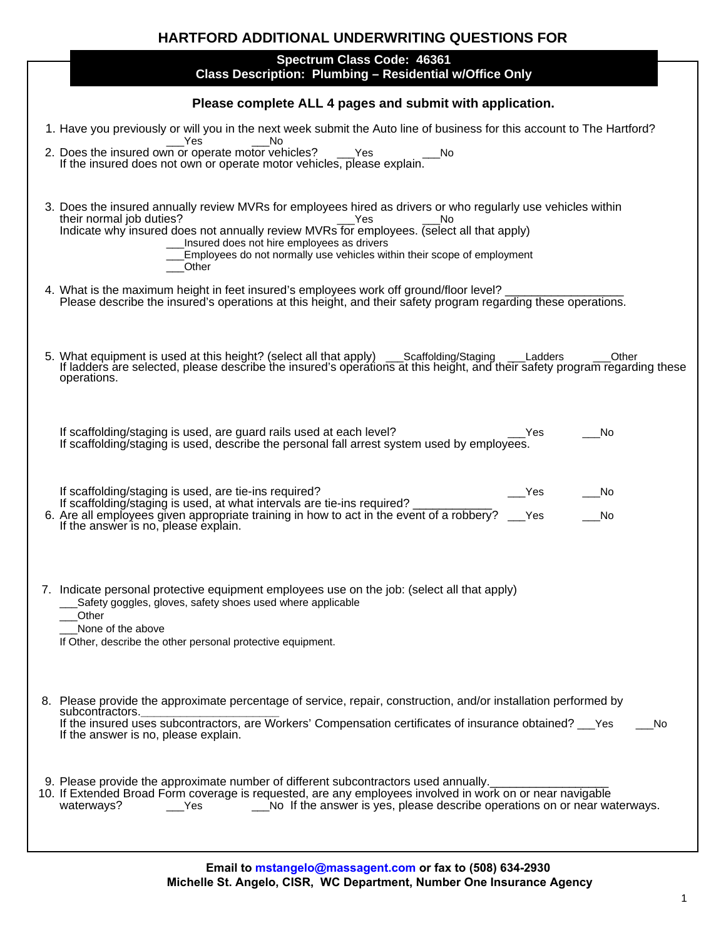| <b>HARTFORD ADDITIONAL UNDERWRITING QUESTIONS FOR</b>                                                                                |                                                                                                                                                                                                                                                                                                                                                                                      |  |
|--------------------------------------------------------------------------------------------------------------------------------------|--------------------------------------------------------------------------------------------------------------------------------------------------------------------------------------------------------------------------------------------------------------------------------------------------------------------------------------------------------------------------------------|--|
| Spectrum Class Code: 46361<br>Class Description: Plumbing - Residential w/Office Only                                                |                                                                                                                                                                                                                                                                                                                                                                                      |  |
| Please complete ALL 4 pages and submit with application.                                                                             |                                                                                                                                                                                                                                                                                                                                                                                      |  |
| 1. Have you previously or will you in the next week submit the Auto line of business for this account to The Hartford?<br>Yes<br>No. |                                                                                                                                                                                                                                                                                                                                                                                      |  |
|                                                                                                                                      | 2. Does the insured own or operate motor vehicles? The Yes If the insured does not own or operate motor vehicles, please explain.<br>__No                                                                                                                                                                                                                                            |  |
|                                                                                                                                      | 3. Does the insured annually review MVRs for employees hired as drivers or who regularly use vehicles within<br>their normal job duties?<br>Yes<br>No<br>Indicate why insured does not annually review MVRs for employees. (select all that apply)<br>Insured does not hire employees as drivers<br>Employees do not normally use vehicles within their scope of employment<br>Other |  |
|                                                                                                                                      | 4. What is the maximum height in feet insured's employees work off ground/floor level?<br>Please describe the insured's operations at this height, and their safety program regarding these operations.                                                                                                                                                                              |  |
|                                                                                                                                      | 5. What equipment is used at this height? (select all that apply) ___Scaffolding/Staging ___Ladders<br>Other<br>If ladders are selected, please describe the insured's operations at this height, and their safety program regarding these<br>operations.                                                                                                                            |  |
|                                                                                                                                      | If scaffolding/staging is used, are guard rails used at each level?<br>No<br>Yes<br>If scaffolding/staging is used, describe the personal fall arrest system used by employees.                                                                                                                                                                                                      |  |
|                                                                                                                                      | If scaffolding/staging is used, are tie-ins required?<br>Yes<br>No.<br>If scaffolding/staging is used, at what intervals are tie-ins required?<br>6. Are all employees given appropriate training in how to act in the event of a robbery? ___ Yes If the answer is no, please explain.<br>No                                                                                        |  |
|                                                                                                                                      | 7. Indicate personal protective equipment employees use on the job: (select all that apply)<br>Safety goggles, gloves, safety shoes used where applicable<br>Other<br>None of the above<br>If Other, describe the other personal protective equipment.                                                                                                                               |  |
|                                                                                                                                      | 8. Please provide the approximate percentage of service, repair, construction, and/or installation performed by<br>subcontractors.<br>If the insured uses subcontractors, are Workers' Compensation certificates of insurance obtained? ___ Yes<br>No<br>If the answer is no, please explain.                                                                                        |  |
|                                                                                                                                      | 9. Please provide the approximate number of different subcontractors used annually.<br>10. If Extended Broad Form coverage is requested, are any employees involved in work on or near navigable<br>No If the answer is yes, please describe operations on or near waterways.<br>waterways?<br>Yes                                                                                   |  |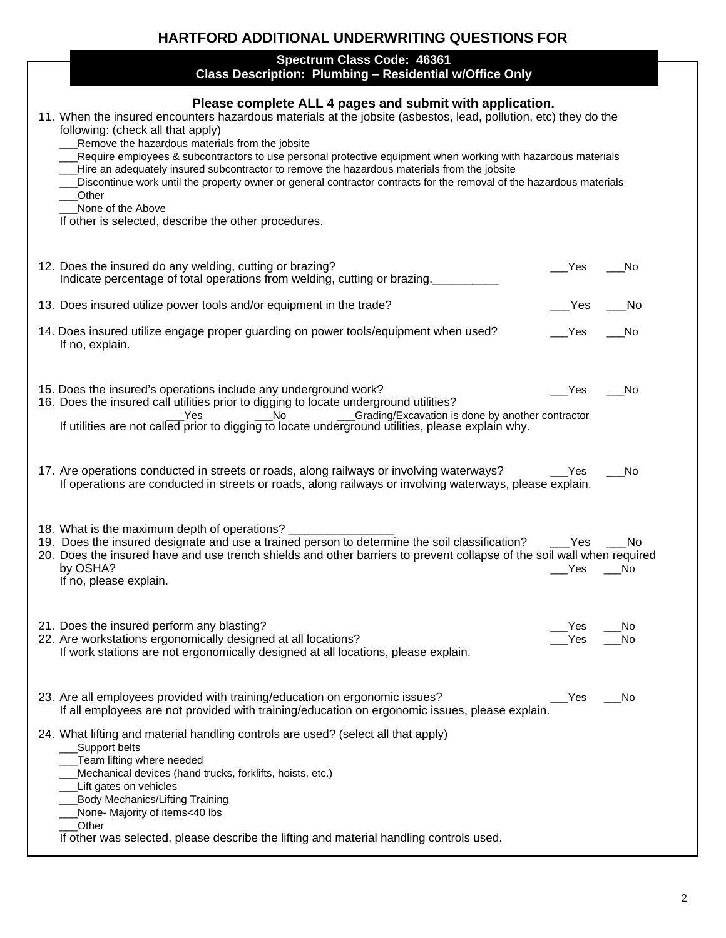## **HARTFORD ADDITIONAL UNDERWRITING QUESTIONS FOR**

## **Spectrum Class Code: 46361 Class Description: Plumbing – Residential w/Office Only**

| Class Description: Plumbing – Residential w/Office Only                                                                                                                                                                                                                                                                                                                                                                                                                                                                                                                                                                                                                                           |                         |
|---------------------------------------------------------------------------------------------------------------------------------------------------------------------------------------------------------------------------------------------------------------------------------------------------------------------------------------------------------------------------------------------------------------------------------------------------------------------------------------------------------------------------------------------------------------------------------------------------------------------------------------------------------------------------------------------------|-------------------------|
| Please complete ALL 4 pages and submit with application.<br>11. When the insured encounters hazardous materials at the jobsite (asbestos, lead, pollution, etc) they do the<br>following: (check all that apply)<br>Remove the hazardous materials from the jobsite<br>Require employees & subcontractors to use personal protective equipment when working with hazardous materials<br>Hire an adequately insured subcontractor to remove the hazardous materials from the jobsite<br>Discontinue work until the property owner or general contractor contracts for the removal of the hazardous materials<br>Other<br>None of the Above<br>If other is selected, describe the other procedures. |                         |
| 12. Does the insured do any welding, cutting or brazing?<br>Indicate percentage of total operations from welding, cutting or brazing.                                                                                                                                                                                                                                                                                                                                                                                                                                                                                                                                                             | Yes<br>No.              |
| 13. Does insured utilize power tools and/or equipment in the trade?                                                                                                                                                                                                                                                                                                                                                                                                                                                                                                                                                                                                                               | Yes<br>No.              |
| 14. Does insured utilize engage proper guarding on power tools/equipment when used?<br>If no, explain.                                                                                                                                                                                                                                                                                                                                                                                                                                                                                                                                                                                            | Yes<br>No.              |
| 15. Does the insured's operations include any underground work?<br>16. Does the insured call utilities prior to digging to locate underground utilities?                                                                                                                                                                                                                                                                                                                                                                                                                                                                                                                                          | Yes]<br>No              |
| 17. Are operations conducted in streets or roads, along railways or involving waterways?<br>If operations are conducted in streets or roads, along railways or involving waterways, please explain.                                                                                                                                                                                                                                                                                                                                                                                                                                                                                               | No<br>Yes               |
| 18. What is the maximum depth of operations?<br>19. Does the insured designate and use a trained person to determine the soil classification?<br>20. Does the insured have and use trench shields and other barriers to prevent collapse of the soil wall when required<br>by OSHA?<br>If no, please explain.                                                                                                                                                                                                                                                                                                                                                                                     | Yes<br>No.<br>Yes<br>No |
| 21. Does the insured perform any blasting?<br>22. Are workstations ergonomically designed at all locations?<br>If work stations are not ergonomically designed at all locations, please explain.                                                                                                                                                                                                                                                                                                                                                                                                                                                                                                  | Yes<br>Νo<br>Yes<br>No  |
| 23. Are all employees provided with training/education on ergonomic issues?<br>If all employees are not provided with training/education on ergonomic issues, please explain.                                                                                                                                                                                                                                                                                                                                                                                                                                                                                                                     | Yes<br>No               |
| 24. What lifting and material handling controls are used? (select all that apply)<br>Support belts<br>Team lifting where needed<br>Mechanical devices (hand trucks, forklifts, hoists, etc.)<br>Lift gates on vehicles<br><b>Body Mechanics/Lifting Training</b><br>None- Majority of items<40 lbs<br>Other<br>If other was selected, please describe the lifting and material handling controls used.                                                                                                                                                                                                                                                                                            |                         |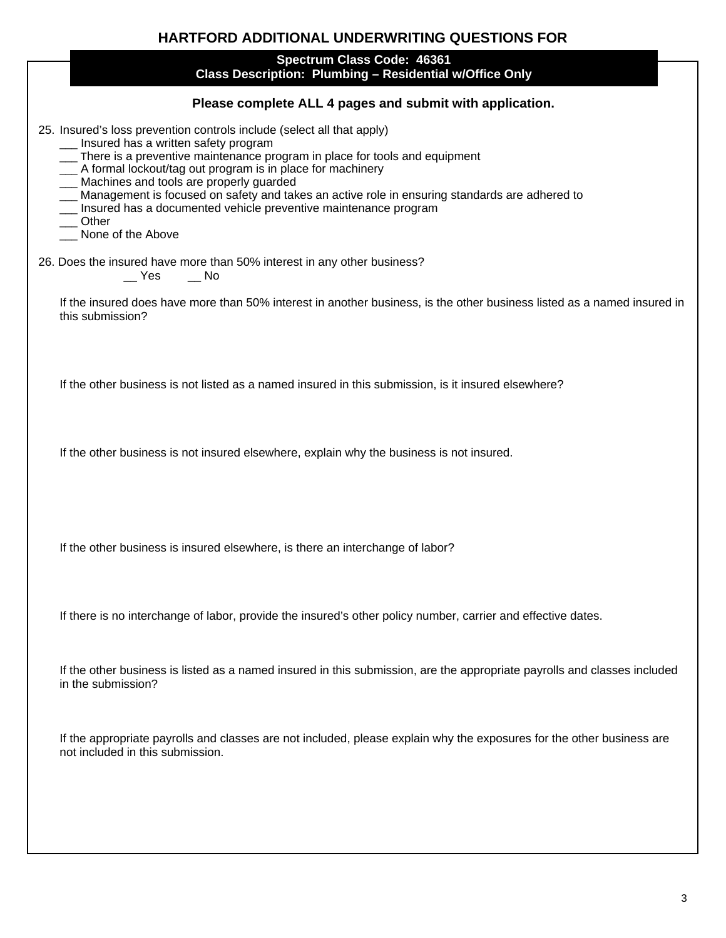| HARTFORD ADDITIONAL UNDERWRITING QUESTIONS FOR                                                                                                                                                                                                                                                                                                                                                                                                                                                                             |  |  |
|----------------------------------------------------------------------------------------------------------------------------------------------------------------------------------------------------------------------------------------------------------------------------------------------------------------------------------------------------------------------------------------------------------------------------------------------------------------------------------------------------------------------------|--|--|
| Spectrum Class Code: 46361<br>Class Description: Plumbing - Residential w/Office Only                                                                                                                                                                                                                                                                                                                                                                                                                                      |  |  |
| Please complete ALL 4 pages and submit with application.                                                                                                                                                                                                                                                                                                                                                                                                                                                                   |  |  |
| 25. Insured's loss prevention controls include (select all that apply)<br>__ Insured has a written safety program<br>__ There is a preventive maintenance program in place for tools and equipment<br>_ A formal lockout/tag out program is in place for machinery<br>__ Machines and tools are properly guarded<br>__ Management is focused on safety and takes an active role in ensuring standards are adhered to<br>__ Insured has a documented vehicle preventive maintenance program<br>Other<br>_ None of the Above |  |  |
| 26. Does the insured have more than 50% interest in any other business?<br>$\mathsf{I}$ Yes<br>___ No                                                                                                                                                                                                                                                                                                                                                                                                                      |  |  |
| If the insured does have more than 50% interest in another business, is the other business listed as a named insured in<br>this submission?                                                                                                                                                                                                                                                                                                                                                                                |  |  |
| If the other business is not listed as a named insured in this submission, is it insured elsewhere?                                                                                                                                                                                                                                                                                                                                                                                                                        |  |  |
| If the other business is not insured elsewhere, explain why the business is not insured.                                                                                                                                                                                                                                                                                                                                                                                                                                   |  |  |
| If the other business is insured elsewhere, is there an interchange of labor?                                                                                                                                                                                                                                                                                                                                                                                                                                              |  |  |
| If there is no interchange of labor, provide the insured's other policy number, carrier and effective dates.                                                                                                                                                                                                                                                                                                                                                                                                               |  |  |
| If the other business is listed as a named insured in this submission, are the appropriate payrolls and classes included<br>in the submission?                                                                                                                                                                                                                                                                                                                                                                             |  |  |
| If the appropriate payrolls and classes are not included, please explain why the exposures for the other business are<br>not included in this submission.                                                                                                                                                                                                                                                                                                                                                                  |  |  |